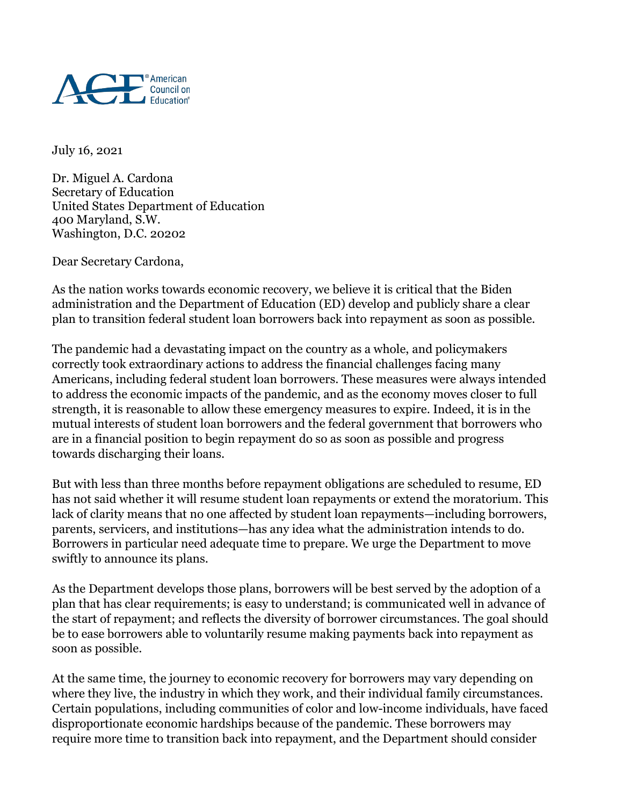

July 16, 2021

Dr. Miguel A. Cardona Secretary of Education United States Department of Education 400 Maryland, S.W. Washington, D.C. 20202

Dear Secretary Cardona,

As the nation works towards economic recovery, we believe it is critical that the Biden administration and the Department of Education (ED) develop and publicly share a clear plan to transition federal student loan borrowers back into repayment as soon as possible.

The pandemic had a devastating impact on the country as a whole, and policymakers correctly took extraordinary actions to address the financial challenges facing many Americans, including federal student loan borrowers. These measures were always intended to address the economic impacts of the pandemic, and as the economy moves closer to full strength, it is reasonable to allow these emergency measures to expire. Indeed, it is in the mutual interests of student loan borrowers and the federal government that borrowers who are in a financial position to begin repayment do so as soon as possible and progress towards discharging their loans.

But with less than three months before repayment obligations are scheduled to resume, ED has not said whether it will resume student loan repayments or extend the moratorium. This lack of clarity means that no one affected by student loan repayments—including borrowers, parents, servicers, and institutions—has any idea what the administration intends to do. Borrowers in particular need adequate time to prepare. We urge the Department to move swiftly to announce its plans.

As the Department develops those plans, borrowers will be best served by the adoption of a plan that has clear requirements; is easy to understand; is communicated well in advance of the start of repayment; and reflects the diversity of borrower circumstances. The goal should be to ease borrowers able to voluntarily resume making payments back into repayment as soon as possible.

At the same time, the journey to economic recovery for borrowers may vary depending on where they live, the industry in which they work, and their individual family circumstances. Certain populations, including communities of color and low-income individuals, have faced disproportionate economic hardships because of the pandemic. These borrowers may require more time to transition back into repayment, and the Department should consider